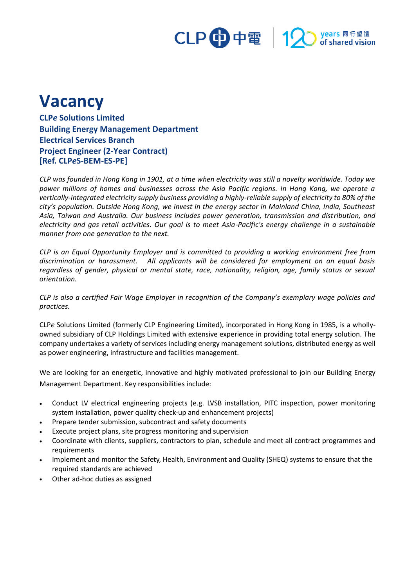# CLP 中電 | 12 Myears 同行望遠

## **Vacancy**

**CLP***e* **Solutions Limited Building Energy Management Department Electrical Services Branch Project Engineer (2-Year Contract) [Ref. CLP***e***S-BEM-ES-PE]**

*CLP was founded in Hong Kong in 1901, at a time when electricity was still a novelty worldwide. Today we power millions of homes and businesses across the Asia Pacific regions. In Hong Kong, we operate a vertically-integrated electricity supply business providing a highly-reliable supply of electricity to 80% of the city's population. Outside Hong Kong, we invest in the energy sector in Mainland China, India, Southeast Asia, Taiwan and Australia. Our business includes power generation, transmission and distribution, and electricity and gas retail activities. Our goal is to meet Asia-Pacific's energy challenge in a sustainable manner from one generation to the next.*

*CLP is an Equal Opportunity Employer and is committed to providing a working environment free from discrimination or harassment. All applicants will be considered for employment on an equal basis regardless of gender, physical or mental state, race, nationality, religion, age, family status or sexual orientation.*

*CLP is also a certified Fair Wage Employer in recognition of the Company's exemplary wage policies and practices.*

CLP*e* Solutions Limited (formerly CLP Engineering Limited), incorporated in Hong Kong in 1985, is a whollyowned subsidiary of CLP Holdings Limited with extensive experience in providing total energy solution. The company undertakes a variety of services including energy management solutions, distributed energy as well as power engineering, infrastructure and facilities management.

We are looking for an energetic, innovative and highly motivated professional to join our Building Energy Management Department. Key responsibilities include:

- Conduct LV electrical engineering projects (e.g. LVSB installation, PITC inspection, power monitoring system installation, power quality check-up and enhancement projects)
- Prepare tender submission, subcontract and safety documents
- Execute project plans, site progress monitoring and supervision
- Coordinate with clients, suppliers, contractors to plan, schedule and meet all contract programmes and requirements
- Implement and monitor the Safety, Health, Environment and Quality (SHEQ) systems to ensure that the required standards are achieved
- Other ad-hoc duties as assigned